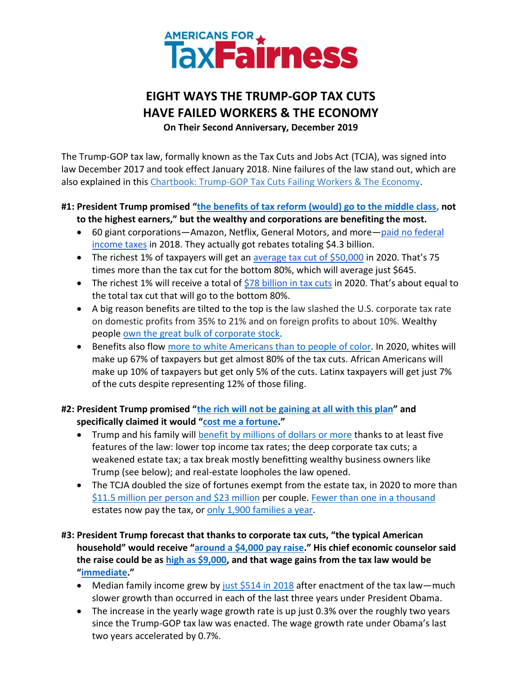

# **EIGHT WAYS THE TRUMP-GOP TAX CUTS HAVE FAILED WORKERS & THE ECONOMY**

**On Their Second Anniversary, December 2019**

The Trump-GOP tax law, formally known as the Tax Cuts and Jobs Act (TCJA), was signed into law December 2017 and took effect January 2018. Nine failures of the law stand out, which are also explained in this Chartbook: Trump-GOP [Tax Cuts Failing Workers & The Economy.](https://americansfortaxfairness.org/goptaxscamanniversary2/)

## **#1: President Trump promised "[the benefits of tax reform \(would\) go to the middle class, n](https://www.politico.com/story/2017/10/11/trump-tax-cut-pennsylvania-243688)ot to the highest earners," but the wealthy and corporations are benefiting the most.**

- 60 giant corporations—Amazon, Netflix, General Motors, and more—[paid no federal](https://itep.org/notadime/)  [income taxes](https://itep.org/notadime/) in 2018. They actually got rebates totaling \$4.3 billion.
- The richest 1% of taxpayers will get an [average tax cut of \\$50,000](https://itep.org/tcja-2020/) in 2020. That's 75 times more than the tax cut for the bottom 80%, which will average just \$645.
- The richest 1% will receive a total of [\\$78 billion in tax cuts](https://itep.org/tcja-2020/) in 2020. That's about equal to the total tax cut that will go to the bottom 80%.
- A big reason benefits are tilted to the top is the law slashed the U.S. corporate tax rate on domestic profits from 35% to 21% and on foreign profits to about 10%. Wealthy people [own the great bulk](https://www.washingtonpost.com/news/wonk/wp/2017/12/18/for-roughly-half-of-americans-the-stock-markets-record-highs-dont-help-at-all/) of corporate stock.
- Benefits also flow [more to white Americans than to people of color.](https://itep.org/tcja-2020/) In 2020, whites will make up 67% of taxpayers but get almost 80% of the tax cuts. African Americans will make up 10% of taxpayers but get only 5% of the cuts. Latinx taxpayers will get just 7% of the cuts despite representing 12% of those filing.

**#2: President Trump promised "[the rich will not be gaining at all with this plan](https://www.bloomberg.com/graphics/2018-tax-plan-consequences/)" and specifically claimed it would "[cost me a fortune](https://www.nytimes.com/2017/11/29/us/politics/a-main-street-tax-speech-becomes-a-trump-riff-on-the-rich.html)."** 

- Trump and his family will [benefit by millions of dollars or more](https://americansfortaxfairness.org/wp-content/uploads/How-Trump-Benefits-from-the-Trump-GOP-Tax-Law-12-22-17-FINAL.pdf) thanks to at least five features of the law: lower top income tax rates; the deep corporate tax cuts; a weakened estate tax; a tax break mostly benefitting wealthy business owners like Trump (see below); and real-estate loopholes the law opened.
- The TCJA doubled the size of fortunes exempt from the estate tax, in 2020 to more than \$11.5 [million per person and \\$23 million](https://www.forbes.com/sites/ashleaebeling/2019/11/06/irs-announces-higher-estate-and-gift-tax-limits-for-2020/#258c0d732efb) per couple. [Fewer than one in a thousand](https://www.cbpp.org/research/federal-tax/2017-tax-law-weakens-estate-tax-benefiting-wealthiest-and-expanding-avoidance) estates now pay the tax, or [only 1,900 families a year.](https://www.taxpolicycenter.org/briefing-book/how-many-people-pay-estate-tax)
- **#3: President Trump forecast that thanks to corporate tax cuts, "the typical American household" would receive "[around a \\$4,000 pay raise](https://youtu.be/kc9rKuc17Mw)." His chief economic counselor said the raise could be as [high as \\$9,000,](https://www.whitehouse.gov/sites/whitehouse.gov/files/documents/Tax%20Reform%20and%20Wages.pdf) and that wage gains from the tax law would be "[immediate](https://www.bloomberg.com/graphics/2018-tax-plan-consequences/)."** 
	- Median family income grew by just  $$514$  in 2018 after enactment of the tax law—much slower growth than occurred in each of the last three years under President Obama.
	- The increase in the yearly wage growth rate is up just 0.3% over the roughly two years since the Trump-GOP tax law was enacted. The wage growth rate under Obama's last two years accelerated by 0.7%.